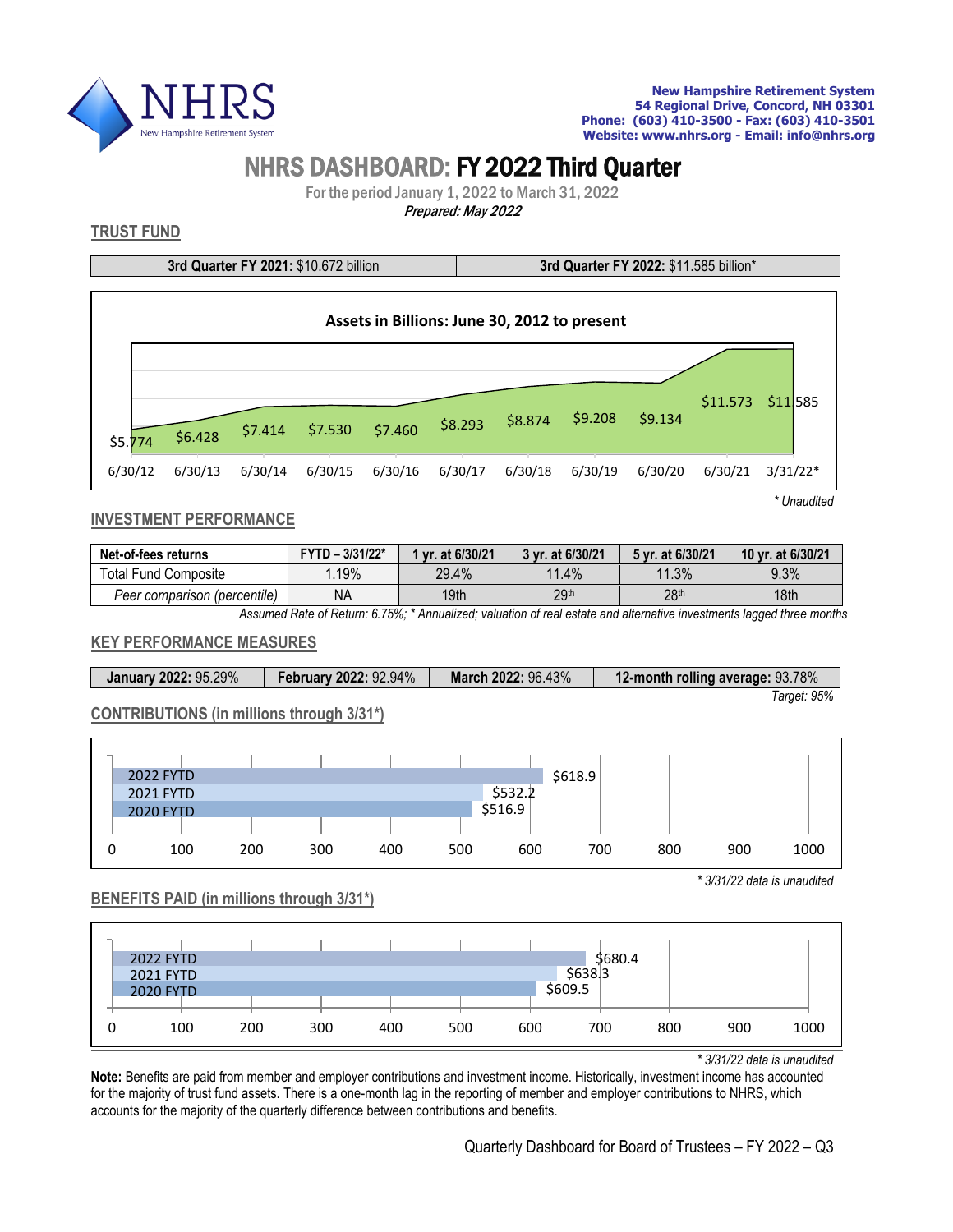

# NHRS DASHBOARD: FY 2022 Third Quarter

For the period January 1, 2022 to March 31, 2022 Prepared: May <sup>2022</sup>

# **TRUST FUND**

**3rd Quarter FY 2021:** \$10.672 billion **3rd Quarter FY 2022:** \$11.585 billion\*



*\* Unaudited*

# **INVESTMENT PERFORMANCE**

| Net-of-fees returns                                                                                                  | $FYTD - 3/31/22*$ | 1 vr. at 6/30/21 | 3 vr. at 6/30/21 | 5 vr. at 6/30/21 | 10 yr. at 6/30/21 |  |  |
|----------------------------------------------------------------------------------------------------------------------|-------------------|------------------|------------------|------------------|-------------------|--|--|
| Total Fund Composite                                                                                                 | .19%              | 29.4%            | 11.4%            | 11.3%            | 9.3%              |  |  |
| Peer comparison (percentile)                                                                                         | ΝA                | 19th             | 29 <sup>th</sup> | 28 <sup>th</sup> | 18th              |  |  |
| Assumed Detail Deturn C. 750/2 * Annualizade valuation of usef satate and effective investments logared three menths |                   |                  |                  |                  |                   |  |  |

*Assumed Rate of Return: 6.75%; \* Annualized; valuation of real estate and alternative investments lagged three months*

#### **KEY PERFORMANCE MEASURES**

| <b>January 2022: 95.29%</b> | <b>February 2022: 92.94%</b> | March 2022: 96.43% | 12-month rolling average: 93.78% |
|-----------------------------|------------------------------|--------------------|----------------------------------|
|                             |                              |                    | Tarqet: 95%                      |

#### **CONTRIBUTIONS (in millions through 3/31\*)**

| <b>2022 FYTD</b> |     |     |     |     |         | \$618.9 |     |     |             |
|------------------|-----|-----|-----|-----|---------|---------|-----|-----|-------------|
| 2021 FYTD        |     |     |     |     | \$532.2 |         |     |     |             |
| <b>2020 FYTD</b> |     |     |     |     | \$516.9 |         |     |     |             |
|                  |     |     |     |     |         |         |     |     |             |
| 100              | 200 | 300 | 400 | 500 | 600     |         | 700 | 800 | 1000<br>900 |

*\* 3/31/22 data is unaudited*

### **BENEFITS PAID (in millions through 3/31\*)**



*\* 3/31/22 data is unaudited*

**Note:** Benefits are paid from member and employer contributions and investment income. Historically, investment income has accounted for the majority of trust fund assets. There is a one-month lag in the reporting of member and employer contributions to NHRS, which accounts for the majority of the quarterly difference between contributions and benefits.